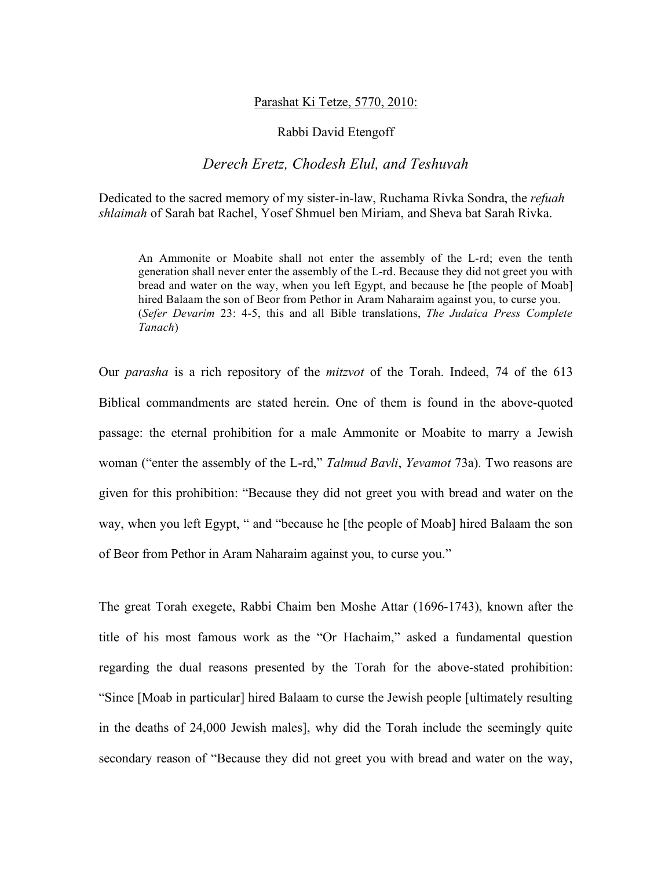## Parashat Ki Tetze, 5770, 2010:

## Rabbi David Etengoff

## *Derech Eretz, Chodesh Elul, and Teshuvah*

Dedicated to the sacred memory of my sister-in-law, Ruchama Rivka Sondra, the *refuah shlaimah* of Sarah bat Rachel, Yosef Shmuel ben Miriam, and Sheva bat Sarah Rivka.

An Ammonite or Moabite shall not enter the assembly of the L-rd; even the tenth generation shall never enter the assembly of the L-rd. Because they did not greet you with bread and water on the way, when you left Egypt, and because he [the people of Moab] hired Balaam the son of Beor from Pethor in Aram Naharaim against you, to curse you. (*Sefer Devarim* 23: 4-5, this and all Bible translations, *The Judaica Press Complete Tanach*)

Our *parasha* is a rich repository of the *mitzvot* of the Torah. Indeed, 74 of the 613 Biblical commandments are stated herein. One of them is found in the above-quoted passage: the eternal prohibition for a male Ammonite or Moabite to marry a Jewish woman ("enter the assembly of the L-rd," *Talmud Bavli*, *Yevamot* 73a). Two reasons are given for this prohibition: "Because they did not greet you with bread and water on the way, when you left Egypt, " and "because he [the people of Moab] hired Balaam the son of Beor from Pethor in Aram Naharaim against you, to curse you."

The great Torah exegete, Rabbi Chaim ben Moshe Attar (1696-1743), known after the title of his most famous work as the "Or Hachaim," asked a fundamental question regarding the dual reasons presented by the Torah for the above-stated prohibition: "Since [Moab in particular] hired Balaam to curse the Jewish people [ultimately resulting in the deaths of 24,000 Jewish males], why did the Torah include the seemingly quite secondary reason of "Because they did not greet you with bread and water on the way,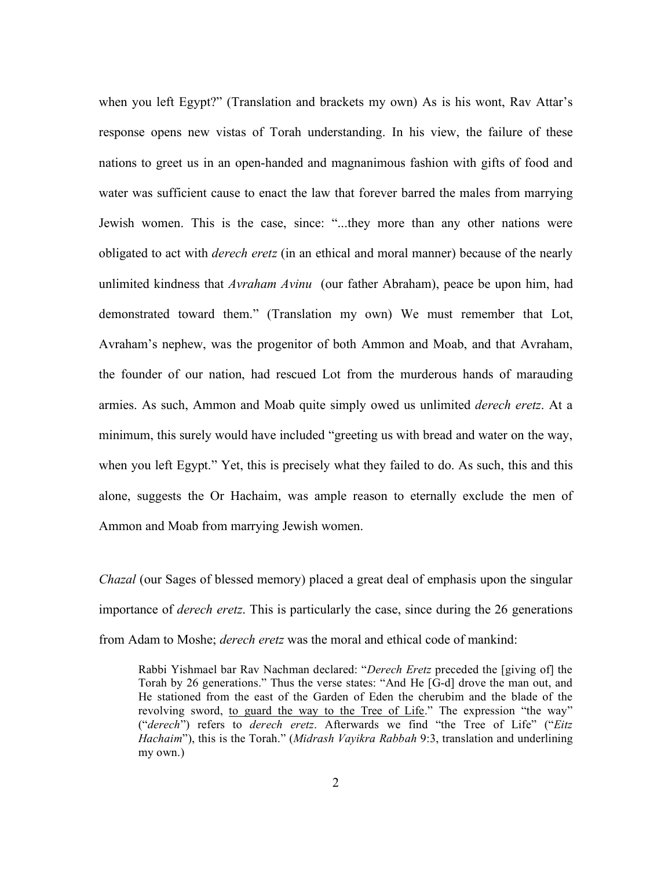when you left Egypt?" (Translation and brackets my own) As is his wont, Rav Attar's response opens new vistas of Torah understanding. In his view, the failure of these nations to greet us in an open-handed and magnanimous fashion with gifts of food and water was sufficient cause to enact the law that forever barred the males from marrying Jewish women. This is the case, since: "...they more than any other nations were obligated to act with *derech eretz* (in an ethical and moral manner) because of the nearly unlimited kindness that *Avraham Avinu* (our father Abraham), peace be upon him, had demonstrated toward them." (Translation my own) We must remember that Lot, Avraham's nephew, was the progenitor of both Ammon and Moab, and that Avraham, the founder of our nation, had rescued Lot from the murderous hands of marauding armies. As such, Ammon and Moab quite simply owed us unlimited *derech eretz*. At a minimum, this surely would have included "greeting us with bread and water on the way, when you left Egypt." Yet, this is precisely what they failed to do. As such, this and this alone, suggests the Or Hachaim, was ample reason to eternally exclude the men of Ammon and Moab from marrying Jewish women.

*Chazal* (our Sages of blessed memory) placed a great deal of emphasis upon the singular importance of *derech eretz*. This is particularly the case, since during the 26 generations from Adam to Moshe; *derech eretz* was the moral and ethical code of mankind:

Rabbi Yishmael bar Rav Nachman declared: "*Derech Eretz* preceded the [giving of] the Torah by 26 generations." Thus the verse states: "And He [G-d] drove the man out, and He stationed from the east of the Garden of Eden the cherubim and the blade of the revolving sword, to guard the way to the Tree of Life." The expression "the way" ("*derech*") refers to *derech eretz*. Afterwards we find "the Tree of Life" ("*Eitz Hachaim*"), this is the Torah." (*Midrash Vayikra Rabbah* 9:3, translation and underlining my own.)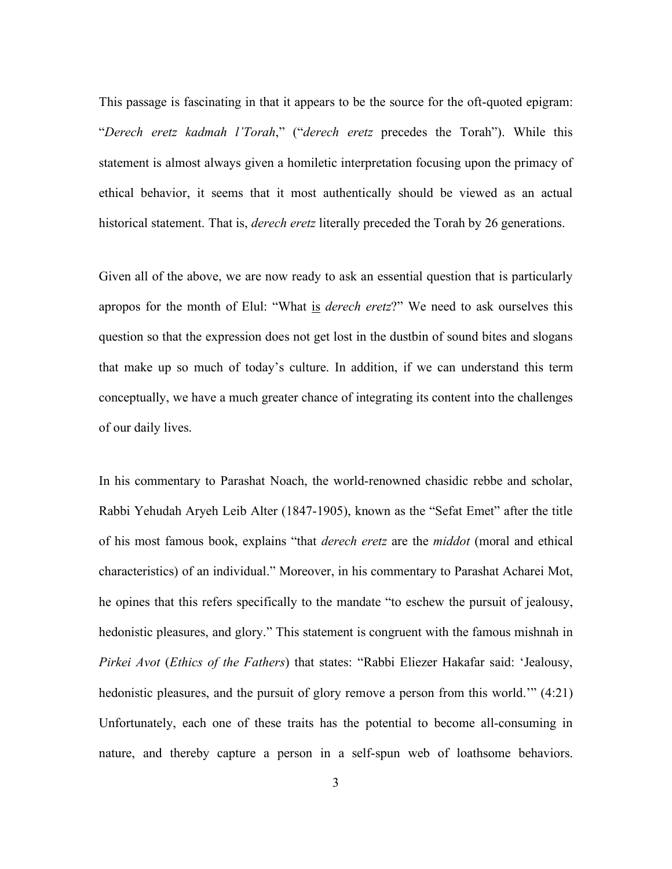This passage is fascinating in that it appears to be the source for the oft-quoted epigram: "*Derech eretz kadmah l'Torah*," ("*derech eretz* precedes the Torah"). While this statement is almost always given a homiletic interpretation focusing upon the primacy of ethical behavior, it seems that it most authentically should be viewed as an actual historical statement. That is, *derech eretz* literally preceded the Torah by 26 generations.

Given all of the above, we are now ready to ask an essential question that is particularly apropos for the month of Elul: "What is *derech eretz*?" We need to ask ourselves this question so that the expression does not get lost in the dustbin of sound bites and slogans that make up so much of today's culture. In addition, if we can understand this term conceptually, we have a much greater chance of integrating its content into the challenges of our daily lives.

In his commentary to Parashat Noach, the world-renowned chasidic rebbe and scholar, Rabbi Yehudah Aryeh Leib Alter (1847-1905), known as the "Sefat Emet" after the title of his most famous book, explains "that *derech eretz* are the *middot* (moral and ethical characteristics) of an individual." Moreover, in his commentary to Parashat Acharei Mot, he opines that this refers specifically to the mandate "to eschew the pursuit of jealousy, hedonistic pleasures, and glory." This statement is congruent with the famous mishnah in *Pirkei Avot* (*Ethics of the Fathers*) that states: "Rabbi Eliezer Hakafar said: 'Jealousy, hedonistic pleasures, and the pursuit of glory remove a person from this world.'" (4:21) Unfortunately, each one of these traits has the potential to become all-consuming in nature, and thereby capture a person in a self-spun web of loathsome behaviors.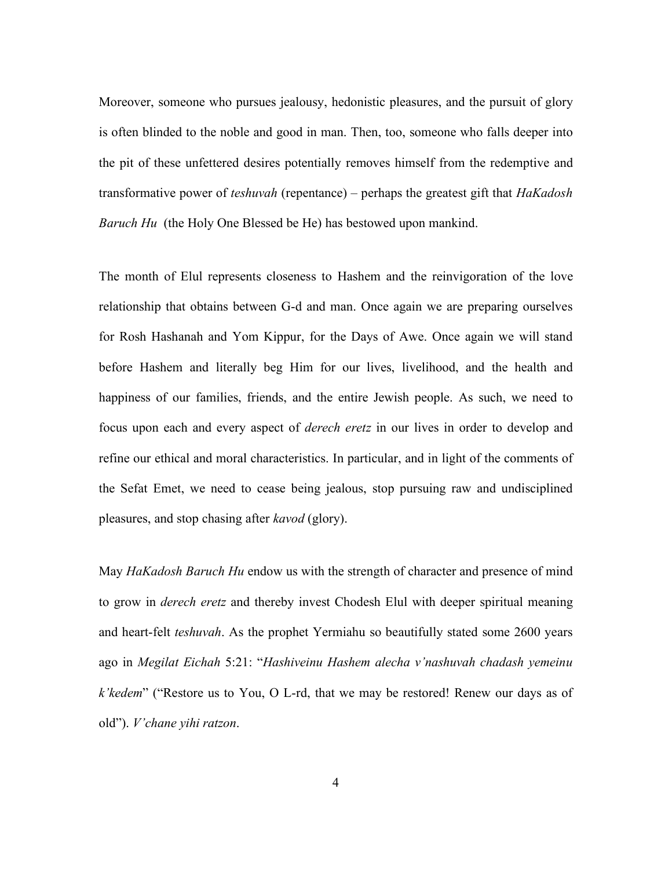Moreover, someone who pursues jealousy, hedonistic pleasures, and the pursuit of glory is often blinded to the noble and good in man. Then, too, someone who falls deeper into the pit of these unfettered desires potentially removes himself from the redemptive and transformative power of *teshuvah* (repentance) – perhaps the greatest gift that *HaKadosh Baruch Hu* (the Holy One Blessed be He) has bestowed upon mankind.

The month of Elul represents closeness to Hashem and the reinvigoration of the love relationship that obtains between G-d and man. Once again we are preparing ourselves for Rosh Hashanah and Yom Kippur, for the Days of Awe. Once again we will stand before Hashem and literally beg Him for our lives, livelihood, and the health and happiness of our families, friends, and the entire Jewish people. As such, we need to focus upon each and every aspect of *derech eretz* in our lives in order to develop and refine our ethical and moral characteristics. In particular, and in light of the comments of the Sefat Emet, we need to cease being jealous, stop pursuing raw and undisciplined pleasures, and stop chasing after *kavod* (glory).

May *HaKadosh Baruch Hu* endow us with the strength of character and presence of mind to grow in *derech eretz* and thereby invest Chodesh Elul with deeper spiritual meaning and heart-felt *teshuvah*. As the prophet Yermiahu so beautifully stated some 2600 years ago in *Megilat Eichah* 5:21: "*Hashiveinu Hashem alecha v'nashuvah chadash yemeinu k'kedem*" ("Restore us to You, O L-rd, that we may be restored! Renew our days as of old"). *V'chane yihi ratzon*.